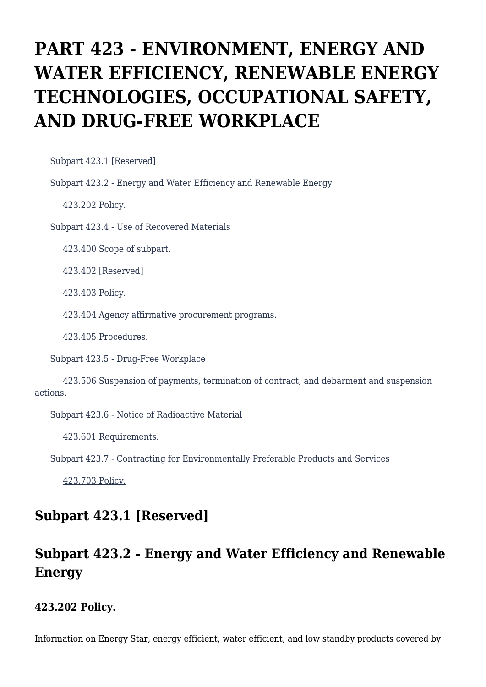# **PART 423 - ENVIRONMENT, ENERGY AND WATER EFFICIENCY, RENEWABLE ENERGY TECHNOLOGIES, OCCUPATIONAL SAFETY, AND DRUG-FREE WORKPLACE**

[Subpart 423.1 \[Reserved\]](https://origin-www.acquisition.gov/%5Brp:link:agar-part-423%5D#Subpart_423_1_T48_40214231)

[Subpart 423.2 - Energy and Water Efficiency and Renewable Energy](https://origin-www.acquisition.gov/%5Brp:link:agar-part-423%5D#Subpart_423_2_T48_40214232)

[423.202 Policy.](https://origin-www.acquisition.gov/%5Brp:link:agar-part-423%5D#Section_423_202_T48_4021423211)

[Subpart 423.4 - Use of Recovered Materials](https://origin-www.acquisition.gov/%5Brp:link:agar-part-423%5D#Subpart_423_4_T48_40214233)

[423.400 Scope of subpart.](https://origin-www.acquisition.gov/%5Brp:link:agar-part-423%5D#Section_423_400_T48_4021423311)

[423.402 \[Reserved\]](https://origin-www.acquisition.gov/%5Brp:link:agar-part-423%5D#Section_423_402_T48_4021423312)

[423.403 Policy.](https://origin-www.acquisition.gov/%5Brp:link:agar-part-423%5D#Section_423_403_T48_4021423313)

[423.404 Agency affirmative procurement programs.](https://origin-www.acquisition.gov/%5Brp:link:agar-part-423%5D#Section_423_404_T48_4021423314)

[423.405 Procedures.](https://origin-www.acquisition.gov/%5Brp:link:agar-part-423%5D#Section_423_405_T48_4021423315)

[Subpart 423.5 - Drug-Free Workplace](https://origin-www.acquisition.gov/%5Brp:link:agar-part-423%5D#Subpart_423_5_T48_40214234)

 [423.506 Suspension of payments, termination of contract, and debarment and suspension](https://origin-www.acquisition.gov/%5Brp:link:agar-part-423%5D#Section_423_506_T48_4021423411) [actions.](https://origin-www.acquisition.gov/%5Brp:link:agar-part-423%5D#Section_423_506_T48_4021423411)

[Subpart 423.6 - Notice of Radioactive Material](https://origin-www.acquisition.gov/%5Brp:link:agar-part-423%5D#Subpart_423_6_T48_40214235)

[423.601 Requirements.](https://origin-www.acquisition.gov/%5Brp:link:agar-part-423%5D#Section_423_601_T48_4021423511)

[Subpart 423.7 - Contracting for Environmentally Preferable Products and Services](https://origin-www.acquisition.gov/%5Brp:link:agar-part-423%5D#Subpart_423_7_T48_40214236)

[423.703 Policy.](https://origin-www.acquisition.gov/%5Brp:link:agar-part-423%5D#Section_423_703_T48_4021423611)

### **Subpart 423.1 [Reserved]**

# **Subpart 423.2 - Energy and Water Efficiency and Renewable Energy**

#### **423.202 Policy.**

Information on Energy Star, energy efficient, water efficient, and low standby products covered by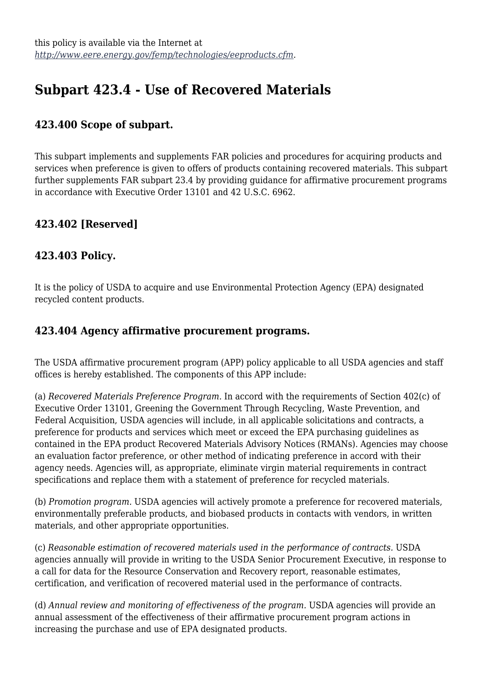# **Subpart 423.4 - Use of Recovered Materials**

### **423.400 Scope of subpart.**

This subpart implements and supplements FAR policies and procedures for acquiring products and services when preference is given to offers of products containing recovered materials. This subpart further supplements FAR subpart 23.4 by providing guidance for affirmative procurement programs in accordance with Executive Order 13101 and 42 U.S.C. 6962.

### **423.402 [Reserved]**

#### **423.403 Policy.**

It is the policy of USDA to acquire and use Environmental Protection Agency (EPA) designated recycled content products.

#### **423.404 Agency affirmative procurement programs.**

The USDA affirmative procurement program (APP) policy applicable to all USDA agencies and staff offices is hereby established. The components of this APP include:

(a) *Recovered Materials Preference Program.* In accord with the requirements of Section 402(c) of Executive Order 13101, Greening the Government Through Recycling, Waste Prevention, and Federal Acquisition, USDA agencies will include, in all applicable solicitations and contracts, a preference for products and services which meet or exceed the EPA purchasing guidelines as contained in the EPA product Recovered Materials Advisory Notices (RMANs). Agencies may choose an evaluation factor preference, or other method of indicating preference in accord with their agency needs. Agencies will, as appropriate, eliminate virgin material requirements in contract specifications and replace them with a statement of preference for recycled materials.

(b) *Promotion program.* USDA agencies will actively promote a preference for recovered materials, environmentally preferable products, and biobased products in contacts with vendors, in written materials, and other appropriate opportunities.

(c) *Reasonable estimation of recovered materials used in the performance of contracts.* USDA agencies annually will provide in writing to the USDA Senior Procurement Executive, in response to a call for data for the Resource Conservation and Recovery report, reasonable estimates, certification, and verification of recovered material used in the performance of contracts.

(d) *Annual review and monitoring of effectiveness of the program.* USDA agencies will provide an annual assessment of the effectiveness of their affirmative procurement program actions in increasing the purchase and use of EPA designated products.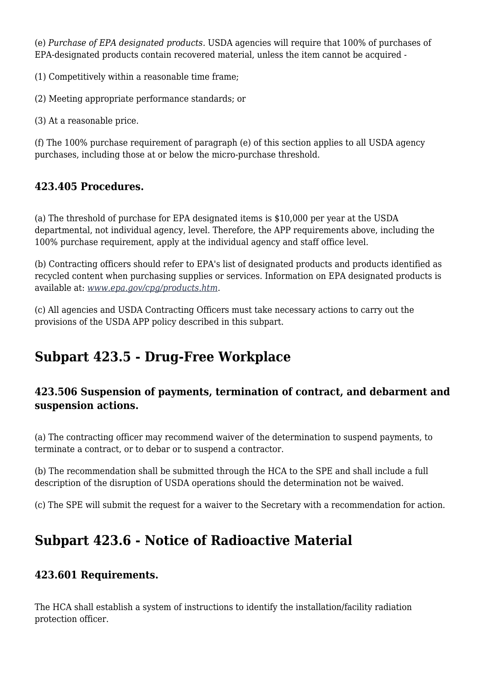(e) *Purchase of EPA designated products.* USDA agencies will require that 100% of purchases of EPA-designated products contain recovered material, unless the item cannot be acquired -

(1) Competitively within a reasonable time frame;

(2) Meeting appropriate performance standards; or

(3) At a reasonable price.

(f) The 100% purchase requirement of paragraph (e) of this section applies to all USDA agency purchases, including those at or below the micro-purchase threshold.

#### **423.405 Procedures.**

(a) The threshold of purchase for EPA designated items is \$10,000 per year at the USDA departmental, not individual agency, level. Therefore, the APP requirements above, including the 100% purchase requirement, apply at the individual agency and staff office level.

(b) Contracting officers should refer to EPA's list of designated products and products identified as recycled content when purchasing supplies or services. Information on EPA designated products is available at: *[www.epa.gov/cpg/products.htm.](http://www.epa.gov/cpg/products.htm)*

(c) All agencies and USDA Contracting Officers must take necessary actions to carry out the provisions of the USDA APP policy described in this subpart.

## **Subpart 423.5 - Drug-Free Workplace**

#### **423.506 Suspension of payments, termination of contract, and debarment and suspension actions.**

(a) The contracting officer may recommend waiver of the determination to suspend payments, to terminate a contract, or to debar or to suspend a contractor.

(b) The recommendation shall be submitted through the HCA to the SPE and shall include a full description of the disruption of USDA operations should the determination not be waived.

(c) The SPE will submit the request for a waiver to the Secretary with a recommendation for action.

### **Subpart 423.6 - Notice of Radioactive Material**

#### **423.601 Requirements.**

The HCA shall establish a system of instructions to identify the installation/facility radiation protection officer.